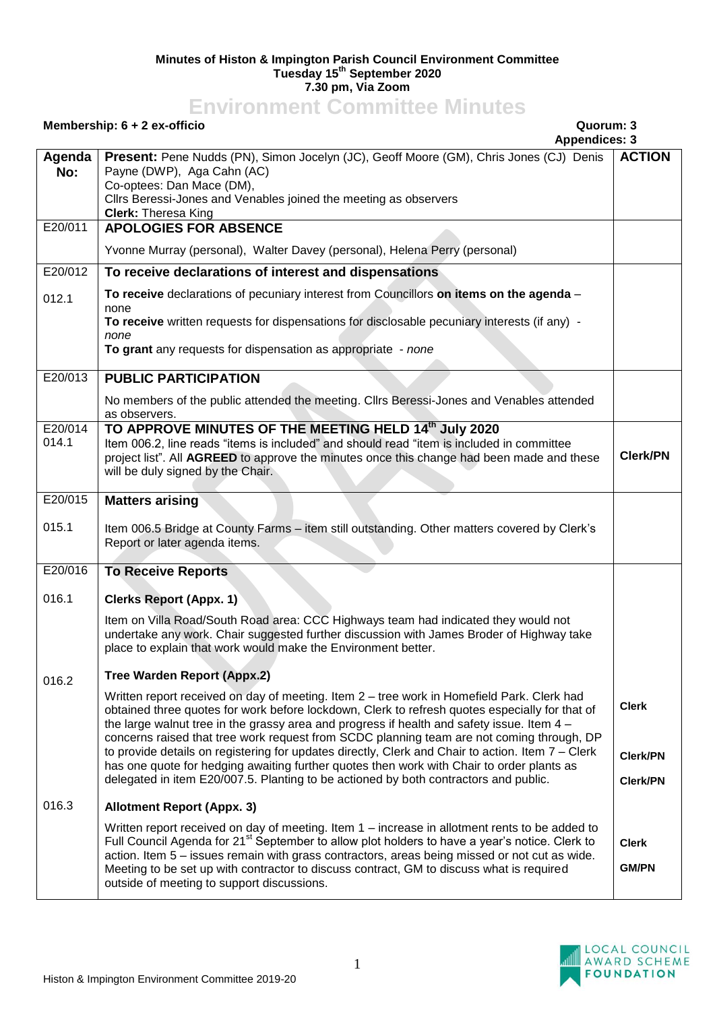## **Minutes of Histon & Impington Parish Council Environment Committee Tuesday 15th September 2020 7.30 pm, Via Zoom**

## **Environment Committee Minutes**

## **Membership: 6 + 2 ex-officio Quorum: 3**

**Appendices: 3**

|               | Appendices. 3                                                                                                                                                                                                                                                                              |                 |
|---------------|--------------------------------------------------------------------------------------------------------------------------------------------------------------------------------------------------------------------------------------------------------------------------------------------|-----------------|
| Agenda<br>No: | Present: Pene Nudds (PN), Simon Jocelyn (JC), Geoff Moore (GM), Chris Jones (CJ) Denis<br>Payne (DWP), Aga Cahn (AC)                                                                                                                                                                       | <b>ACTION</b>   |
|               | Co-optees: Dan Mace (DM),<br>Cllrs Beressi-Jones and Venables joined the meeting as observers<br><b>Clerk: Theresa King</b>                                                                                                                                                                |                 |
| E20/011       | <b>APOLOGIES FOR ABSENCE</b>                                                                                                                                                                                                                                                               |                 |
|               | Yvonne Murray (personal), Walter Davey (personal), Helena Perry (personal)                                                                                                                                                                                                                 |                 |
| E20/012       | To receive declarations of interest and dispensations                                                                                                                                                                                                                                      |                 |
| 012.1         | To receive declarations of pecuniary interest from Councillors on items on the agenda -<br>none                                                                                                                                                                                            |                 |
|               | To receive written requests for dispensations for disclosable pecuniary interests (if any) -<br>none                                                                                                                                                                                       |                 |
|               | To grant any requests for dispensation as appropriate - none                                                                                                                                                                                                                               |                 |
| E20/013       | <b>PUBLIC PARTICIPATION</b>                                                                                                                                                                                                                                                                |                 |
|               | No members of the public attended the meeting. Cllrs Beressi-Jones and Venables attended<br>as observers.                                                                                                                                                                                  |                 |
| E20/014       | TO APPROVE MINUTES OF THE MEETING HELD 14th July 2020                                                                                                                                                                                                                                      |                 |
| 014.1         | Item 006.2, line reads "items is included" and should read "item is included in committee<br>project list". All AGREED to approve the minutes once this change had been made and these<br>will be duly signed by the Chair.                                                                | <b>Clerk/PN</b> |
| E20/015       | <b>Matters arising</b>                                                                                                                                                                                                                                                                     |                 |
| 015.1         | Item 006.5 Bridge at County Farms - item still outstanding. Other matters covered by Clerk's<br>Report or later agenda items.                                                                                                                                                              |                 |
| E20/016       | <b>To Receive Reports</b>                                                                                                                                                                                                                                                                  |                 |
| 016.1         | <b>Clerks Report (Appx. 1)</b>                                                                                                                                                                                                                                                             |                 |
|               | Item on Villa Road/South Road area: CCC Highways team had indicated they would not<br>undertake any work. Chair suggested further discussion with James Broder of Highway take<br>place to explain that work would make the Environment better.                                            |                 |
| 016.2         | <b>Tree Warden Report (Appx.2)</b>                                                                                                                                                                                                                                                         |                 |
|               | Written report received on day of meeting. Item 2 - tree work in Homefield Park. Clerk had<br>obtained three quotes for work before lockdown, Clerk to refresh quotes especially for that of<br>the large walnut tree in the grassy area and progress if health and safety issue. Item 4 - | <b>Clerk</b>    |
|               | concerns raised that tree work request from SCDC planning team are not coming through, DP<br>to provide details on registering for updates directly, Clerk and Chair to action. Item 7 - Clerk                                                                                             | <b>Clerk/PN</b> |
|               | has one quote for hedging awaiting further quotes then work with Chair to order plants as<br>delegated in item E20/007.5. Planting to be actioned by both contractors and public.                                                                                                          | <b>Clerk/PN</b> |
| 016.3         | <b>Allotment Report (Appx. 3)</b>                                                                                                                                                                                                                                                          |                 |
|               | Written report received on day of meeting. Item $1$ – increase in allotment rents to be added to                                                                                                                                                                                           |                 |
|               | Full Council Agenda for 21 <sup>st</sup> September to allow plot holders to have a year's notice. Clerk to                                                                                                                                                                                 | <b>Clerk</b>    |
|               | action. Item 5 - issues remain with grass contractors, areas being missed or not cut as wide.<br>Meeting to be set up with contractor to discuss contract, GM to discuss what is required<br>outside of meeting to support discussions.                                                    | <b>GM/PN</b>    |

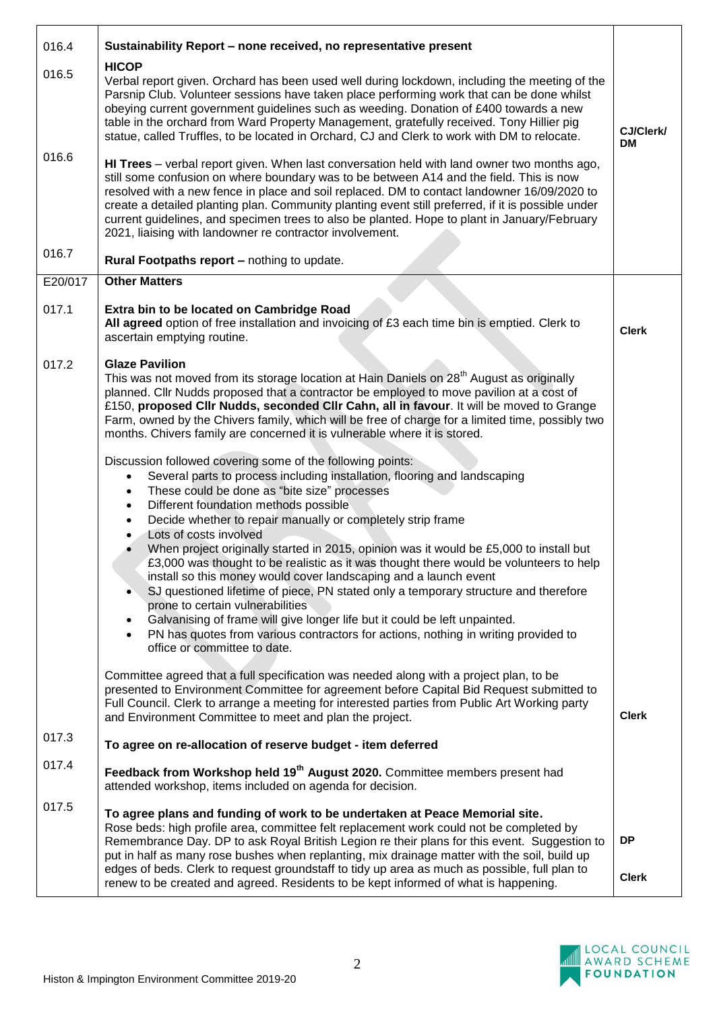| 016.4   | Sustainability Report - none received, no representative present                                                                                                                                                                                                                                                                                                                                                                                                                                                                                                                                                                                                                                                                                                                                                                                                                                                                                                                                                                                                                                                                                                                                                                                                                                                                                                                                                                                                   |                           |
|---------|--------------------------------------------------------------------------------------------------------------------------------------------------------------------------------------------------------------------------------------------------------------------------------------------------------------------------------------------------------------------------------------------------------------------------------------------------------------------------------------------------------------------------------------------------------------------------------------------------------------------------------------------------------------------------------------------------------------------------------------------------------------------------------------------------------------------------------------------------------------------------------------------------------------------------------------------------------------------------------------------------------------------------------------------------------------------------------------------------------------------------------------------------------------------------------------------------------------------------------------------------------------------------------------------------------------------------------------------------------------------------------------------------------------------------------------------------------------------|---------------------------|
| 016.5   | <b>HICOP</b><br>Verbal report given. Orchard has been used well during lockdown, including the meeting of the<br>Parsnip Club. Volunteer sessions have taken place performing work that can be done whilst<br>obeying current government guidelines such as weeding. Donation of £400 towards a new<br>table in the orchard from Ward Property Management, gratefully received. Tony Hillier pig<br>statue, called Truffles, to be located in Orchard, CJ and Clerk to work with DM to relocate.                                                                                                                                                                                                                                                                                                                                                                                                                                                                                                                                                                                                                                                                                                                                                                                                                                                                                                                                                                   | CJ/Clerk/<br><b>DM</b>    |
| 016.6   | HI Trees - verbal report given. When last conversation held with land owner two months ago,<br>still some confusion on where boundary was to be between A14 and the field. This is now<br>resolved with a new fence in place and soil replaced. DM to contact landowner 16/09/2020 to<br>create a detailed planting plan. Community planting event still preferred, if it is possible under<br>current guidelines, and specimen trees to also be planted. Hope to plant in January/February<br>2021, liaising with landowner re contractor involvement.                                                                                                                                                                                                                                                                                                                                                                                                                                                                                                                                                                                                                                                                                                                                                                                                                                                                                                            |                           |
| 016.7   | Rural Footpaths report - nothing to update.                                                                                                                                                                                                                                                                                                                                                                                                                                                                                                                                                                                                                                                                                                                                                                                                                                                                                                                                                                                                                                                                                                                                                                                                                                                                                                                                                                                                                        |                           |
| E20/017 | <b>Other Matters</b>                                                                                                                                                                                                                                                                                                                                                                                                                                                                                                                                                                                                                                                                                                                                                                                                                                                                                                                                                                                                                                                                                                                                                                                                                                                                                                                                                                                                                                               |                           |
| 017.1   | Extra bin to be located on Cambridge Road<br>All agreed option of free installation and invoicing of £3 each time bin is emptied. Clerk to<br>ascertain emptying routine.                                                                                                                                                                                                                                                                                                                                                                                                                                                                                                                                                                                                                                                                                                                                                                                                                                                                                                                                                                                                                                                                                                                                                                                                                                                                                          | <b>Clerk</b>              |
| 017.2   | <b>Glaze Pavilion</b><br>This was not moved from its storage location at Hain Daniels on 28 <sup>th</sup> August as originally<br>planned. Cllr Nudds proposed that a contractor be employed to move pavilion at a cost of<br>£150, proposed Cllr Nudds, seconded Cllr Cahn, all in favour. It will be moved to Grange<br>Farm, owned by the Chivers family, which will be free of charge for a limited time, possibly two<br>months. Chivers family are concerned it is vulnerable where it is stored.<br>Discussion followed covering some of the following points:<br>Several parts to process including installation, flooring and landscaping<br>These could be done as "bite size" processes<br>$\bullet$<br>Different foundation methods possible<br>$\bullet$<br>Decide whether to repair manually or completely strip frame<br>Lots of costs involved<br>When project originally started in 2015, opinion was it would be £5,000 to install but<br>£3,000 was thought to be realistic as it was thought there would be volunteers to help<br>install so this money would cover landscaping and a launch event<br>SJ questioned lifetime of piece, PN stated only a temporary structure and therefore<br>prone to certain vulnerabilities<br>Galvanising of frame will give longer life but it could be left unpainted.<br>$\bullet$<br>PN has quotes from various contractors for actions, nothing in writing provided to<br>office or committee to date. |                           |
|         | Committee agreed that a full specification was needed along with a project plan, to be<br>presented to Environment Committee for agreement before Capital Bid Request submitted to<br>Full Council. Clerk to arrange a meeting for interested parties from Public Art Working party<br>and Environment Committee to meet and plan the project.                                                                                                                                                                                                                                                                                                                                                                                                                                                                                                                                                                                                                                                                                                                                                                                                                                                                                                                                                                                                                                                                                                                     | <b>Clerk</b>              |
| 017.3   | To agree on re-allocation of reserve budget - item deferred                                                                                                                                                                                                                                                                                                                                                                                                                                                                                                                                                                                                                                                                                                                                                                                                                                                                                                                                                                                                                                                                                                                                                                                                                                                                                                                                                                                                        |                           |
| 017.4   | Feedback from Workshop held 19 <sup>th</sup> August 2020. Committee members present had<br>attended workshop, items included on agenda for decision.                                                                                                                                                                                                                                                                                                                                                                                                                                                                                                                                                                                                                                                                                                                                                                                                                                                                                                                                                                                                                                                                                                                                                                                                                                                                                                               |                           |
| 017.5   | To agree plans and funding of work to be undertaken at Peace Memorial site.<br>Rose beds: high profile area, committee felt replacement work could not be completed by<br>Remembrance Day. DP to ask Royal British Legion re their plans for this event. Suggestion to<br>put in half as many rose bushes when replanting, mix drainage matter with the soil, build up<br>edges of beds. Clerk to request groundstaff to tidy up area as much as possible, full plan to<br>renew to be created and agreed. Residents to be kept informed of what is happening.                                                                                                                                                                                                                                                                                                                                                                                                                                                                                                                                                                                                                                                                                                                                                                                                                                                                                                     | <b>DP</b><br><b>Clerk</b> |